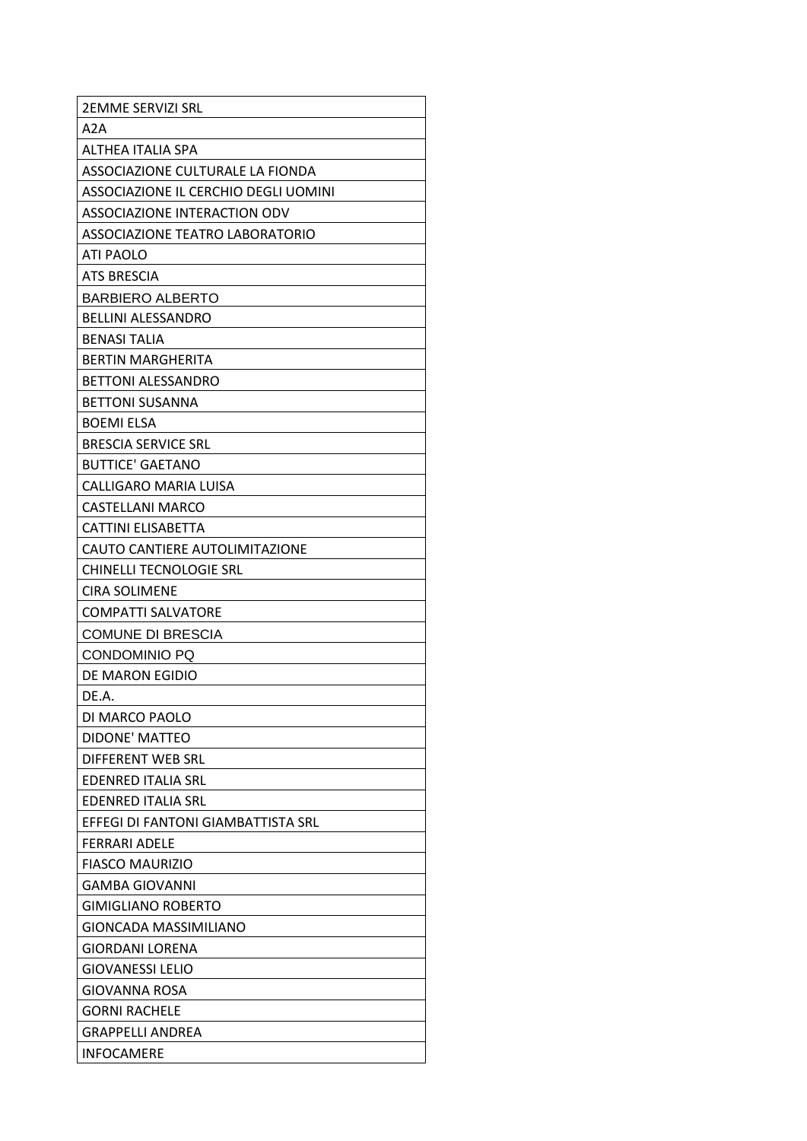| <b>2EMME SERVIZI SRL</b>             |
|--------------------------------------|
| A2A                                  |
| <b>ALTHFA ITALIA SPA</b>             |
| ASSOCIAZIONE CULTURALE LA FIONDA     |
| ASSOCIAZIONE IL CERCHIO DEGLI UOMINI |
| ASSOCIAZIONE INTERACTION ODV         |
| ASSOCIAZIONE TEATRO LABORATORIO      |
| <b>ATI PAOLO</b>                     |
| <b>ATS BRESCIA</b>                   |
| <b>BARBIERO ALBERTO</b>              |
| <b>BELLINI ALESSANDRO</b>            |
| BENASI TALIA                         |
| <b>BERTIN MARGHERITA</b>             |
| <b>BETTONI ALESSANDRO</b>            |
| <b>BETTONI SUSANNA</b>               |
| <b>BOEMI ELSA</b>                    |
| <b>BRESCIA SERVICE SRL</b>           |
| <b>BUTTICE' GAETANO</b>              |
| CALLIGARO MARIA LUISA                |
| <b>CASTELLANI MARCO</b>              |
| CATTINI ELISABETTA                   |
| CAUTO CANTIERE AUTOLIMITAZIONE       |
| <b>CHINELLI TECNOLOGIE SRL</b>       |
| <b>CIRA SOLIMENE</b>                 |
| <b>COMPATTI SALVATORE</b>            |
| <b>COMUNE DI BRESCIA</b>             |
| <b>CONDOMINIO PQ</b>                 |
| DE MARON EGIDIO                      |
| DE.A.                                |
| DI MARCO PAOLO                       |
| DIDONE' MATTEO                       |
| DIFFERENT WEB SRL                    |
| <b>EDENRED ITALIA SRL</b>            |
| <b>EDENRED ITALIA SRL</b>            |
| FFFFGI DI FANTONI GIAMBATTISTA SRL   |
| <b>FERRARI ADELE</b>                 |
| <b>FIASCO MAURIZIO</b>               |
| <b>GAMBA GIOVANNI</b>                |
| <b>GIMIGLIANO ROBERTO</b>            |
| GIONCADA MASSIMILIANO                |
| GIORDANI LORENA                      |
| <b>GIOVANESSI LELIO</b>              |
| GIOVANNA ROSA                        |
| <b>GORNI RACHELE</b>                 |
| <b>GRAPPELLI ANDREA</b>              |
| <b>INFOCAMERE</b>                    |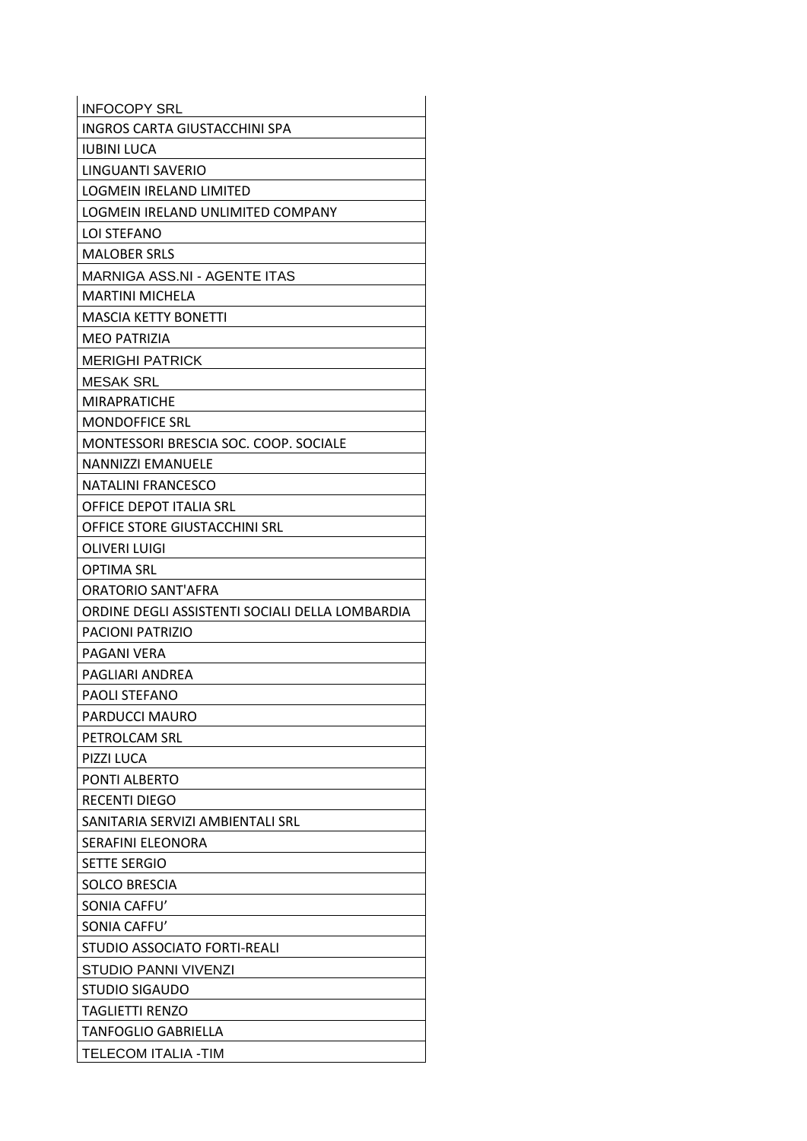| <b>INFOCOPY SRL</b>                             |  |
|-------------------------------------------------|--|
| <b>INGROS CARTA GIUSTACCHINI SPA</b>            |  |
| <b>IUBINI LUCA</b>                              |  |
| LINGUANTI SAVERIO                               |  |
| <b>LOGMEIN IRELAND LIMITED</b>                  |  |
| LOGMEIN IRELAND UNLIMITED COMPANY               |  |
| <b>LOI STEFANO</b>                              |  |
| <b>MALOBER SRLS</b>                             |  |
| <b>MARNIGA ASS.NI - AGENTE ITAS</b>             |  |
| <b>MARTINI MICHELA</b>                          |  |
| <b>MASCIA KETTY BONETTI</b>                     |  |
| <b>MEO PATRIZIA</b>                             |  |
| <b>MERIGHI PATRICK</b>                          |  |
| <b>MESAK SRL</b>                                |  |
| <b>MIRAPRATICHE</b>                             |  |
| <b>MONDOFFICE SRL</b>                           |  |
| MONTESSORI BRESCIA SOC. COOP. SOCIALE           |  |
| <b>NANNIZZI EMANUELE</b>                        |  |
| <b>NATALINI FRANCESCO</b>                       |  |
| <b>OFFICE DEPOT ITALIA SRL</b>                  |  |
| OFFICE STORE GIUSTACCHINI SRL                   |  |
| <b>OLIVERI LUIGI</b>                            |  |
| <b>OPTIMA SRL</b>                               |  |
| ORATORIO SANT'AFRA                              |  |
| ORDINE DEGLI ASSISTENTI SOCIALI DELLA LOMBARDIA |  |
| <b>PACIONI PATRIZIO</b>                         |  |
| PAGANI VFRA                                     |  |
| PAGLIARI ANDREA                                 |  |
| PAOLI STEFANO                                   |  |
| PARDUCCI MAURO                                  |  |
| PETROLCAM SRL                                   |  |
| PIZZI LUCA                                      |  |
| PONTI ALBERTO                                   |  |
| <b>RECENTI DIEGO</b>                            |  |
| SANITARIA SERVIZI AMBIENTALI SRL                |  |
| <b>SERAFINI ELEONORA</b>                        |  |
| <b>SETTE SERGIO</b>                             |  |
| <b>SOLCO BRESCIA</b>                            |  |
| SONIA CAFFU'                                    |  |
| SONIA CAFFU'                                    |  |
| STUDIO ASSOCIATO FORTI-REALI                    |  |
| <b>STUDIO PANNI VIVENZI</b>                     |  |
| <b>STUDIO SIGAUDO</b>                           |  |
| <b>TAGLIETTI RENZO</b>                          |  |
| <b>TANFOGLIO GABRIELLA</b>                      |  |
| TELECOM ITALIA -TIM                             |  |